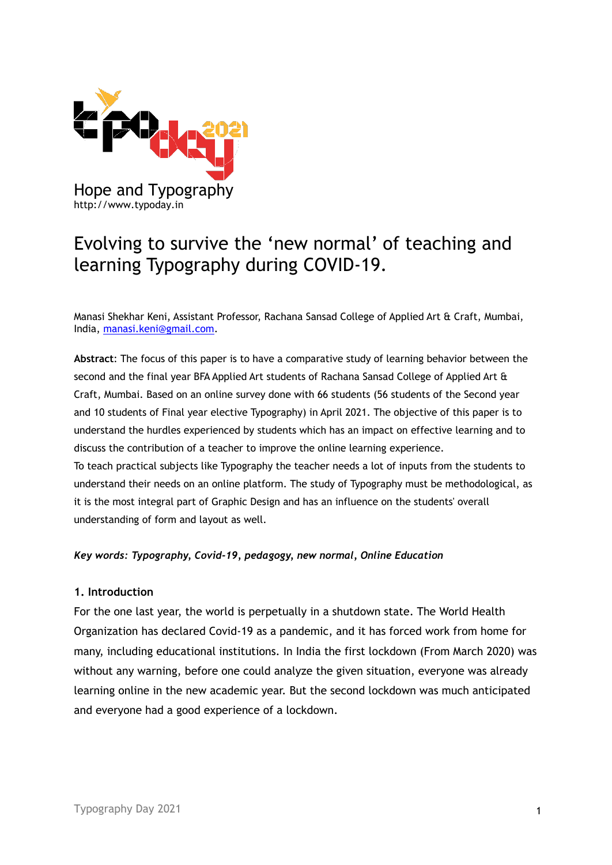

# Evolving to survive the 'new normal' of teaching and learning Typography during COVID-19.

Manasi Shekhar Keni, Assistant Professor, Rachana Sansad College of Applied Art & Craft, Mumbai, India, [manasi.keni@gmail.com.](mailto:manasi.keni@gmail.com)

**Abstract**: The focus of this paper is to have a comparative study of learning behavior between the second and the final year BFA Applied Art students of Rachana Sansad College of Applied Art & Craft, Mumbai. Based on an online survey done with 66 students (56 students of the Second year and 10 students of Final year elective Typography) in April 2021. The objective of this paper is to understand the hurdles experienced by students which has an impact on effective learning and to discuss the contribution of a teacher to improve the online learning experience. To teach practical subjects like Typography the teacher needs a lot of inputs from the students to understand their needs on an online platform. The study of Typography must be methodological, as it is the most integral part of Graphic Design and has an influence on the students' overall understanding of form and layout as well.

#### *Key words: Typography, Covid-19, pedagogy, new normal, Online Education*

#### **1. Introduction**

For the one last year, the world is perpetually in a shutdown state. The World Health Organization has declared Covid-19 as a pandemic, and it has forced work from home for many, including educational institutions. In India the first lockdown (From March 2020) was without any warning, before one could analyze the given situation, everyone was already learning online in the new academic year. But the second lockdown was much anticipated and everyone had a good experience of a lockdown.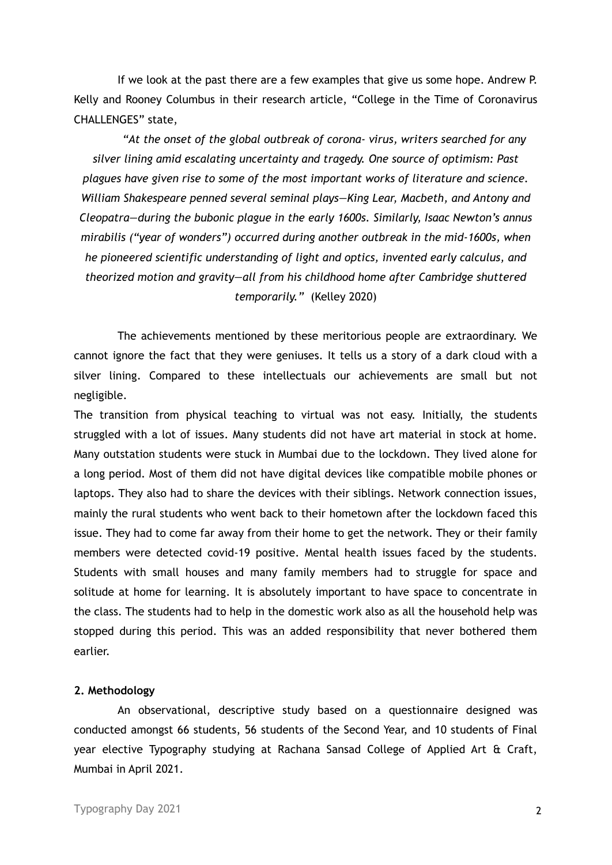If we look at the past there are a few examples that give us some hope. Andrew P. Kelly and Rooney Columbus in their research article, "College in the Time of Coronavirus CHALLENGES" state,

*"At the onset of the global outbreak of corona- virus, writers searched for any silver lining amid escalating uncertainty and tragedy. One source of optimism: Past plagues have given rise to some of the most important works of literature and science. William Shakespeare penned several seminal plays—King Lear, Macbeth, and Antony and Cleopatra—during the bubonic plague in the early 1600s. Similarly, Isaac Newton's annus mirabilis ("year of wonders") occurred during another outbreak in the mid-1600s, when he pioneered scientific understanding of light and optics, invented early calculus, and theorized motion and gravity—all from his childhood home after Cambridge shuttered temporarily."* (Kelley 2020)

The achievements mentioned by these meritorious people are extraordinary. We cannot ignore the fact that they were geniuses. It tells us a story of a dark cloud with a silver lining. Compared to these intellectuals our achievements are small but not negligible.

The transition from physical teaching to virtual was not easy. Initially, the students struggled with a lot of issues. Many students did not have art material in stock at home. Many outstation students were stuck in Mumbai due to the lockdown. They lived alone for a long period. Most of them did not have digital devices like compatible mobile phones or laptops. They also had to share the devices with their siblings. Network connection issues, mainly the rural students who went back to their hometown after the lockdown faced this issue. They had to come far away from their home to get the network. They or their family members were detected covid-19 positive. Mental health issues faced by the students. Students with small houses and many family members had to struggle for space and solitude at home for learning. It is absolutely important to have space to concentrate in the class. The students had to help in the domestic work also as all the household help was stopped during this period. This was an added responsibility that never bothered them earlier.

#### **2. Methodology**

An observational, descriptive study based on a questionnaire designed was conducted amongst 66 students, 56 students of the Second Year, and 10 students of Final year elective Typography studying at Rachana Sansad College of Applied Art & Craft, Mumbai in April 2021.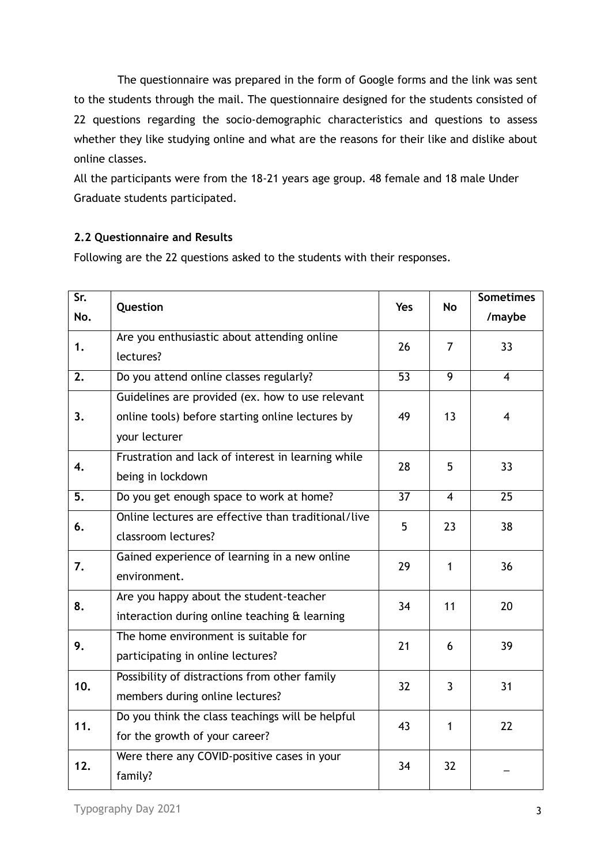The questionnaire was prepared in the form of Google forms and the link was sent to the students through the mail. The questionnaire designed for the students consisted of 22 questions regarding the socio-demographic characteristics and questions to assess whether they like studying online and what are the reasons for their like and dislike about online classes.

All the participants were from the 18-21 years age group. 48 female and 18 male Under Graduate students participated.

#### **2.2 Questionnaire and Results**

Following are the 22 questions asked to the students with their responses.

| $\overline{\mathsf{Sr.}}$ |                                                                                                                       | Yes |                | <b>Sometimes</b> |
|---------------------------|-----------------------------------------------------------------------------------------------------------------------|-----|----------------|------------------|
| No.                       | Question                                                                                                              |     | <b>No</b>      | /maybe           |
| 1.                        | Are you enthusiastic about attending online<br>lectures?                                                              | 26  | $\overline{7}$ | 33               |
| 2.                        | Do you attend online classes regularly?                                                                               | 53  | $\overline{9}$ | $\overline{4}$   |
| 3.                        | Guidelines are provided (ex. how to use relevant<br>online tools) before starting online lectures by<br>your lecturer | 49  | 13             | $\overline{4}$   |
| 4.                        | Frustration and lack of interest in learning while<br>being in lockdown                                               | 28  | 5              | 33               |
| 5.                        | Do you get enough space to work at home?                                                                              | 37  | $\overline{4}$ | 25               |
| 6.                        | Online lectures are effective than traditional/live<br>classroom lectures?                                            | 5   | 23             | 38               |
| 7.                        | Gained experience of learning in a new online<br>environment.                                                         | 29  | $\mathbf 1$    | 36               |
| 8.                        | Are you happy about the student-teacher<br>interaction during online teaching & learning                              | 34  | 11             | 20               |
| 9.                        | The home environment is suitable for<br>participating in online lectures?                                             | 21  | 6              | 39               |
| 10.                       | Possibility of distractions from other family<br>members during online lectures?                                      | 32  | $\overline{3}$ | 31               |
| 11.                       | Do you think the class teachings will be helpful<br>for the growth of your career?                                    | 43  | $\mathbf{1}$   | 22               |
| 12.                       | Were there any COVID-positive cases in your<br>family?                                                                | 34  | 32             |                  |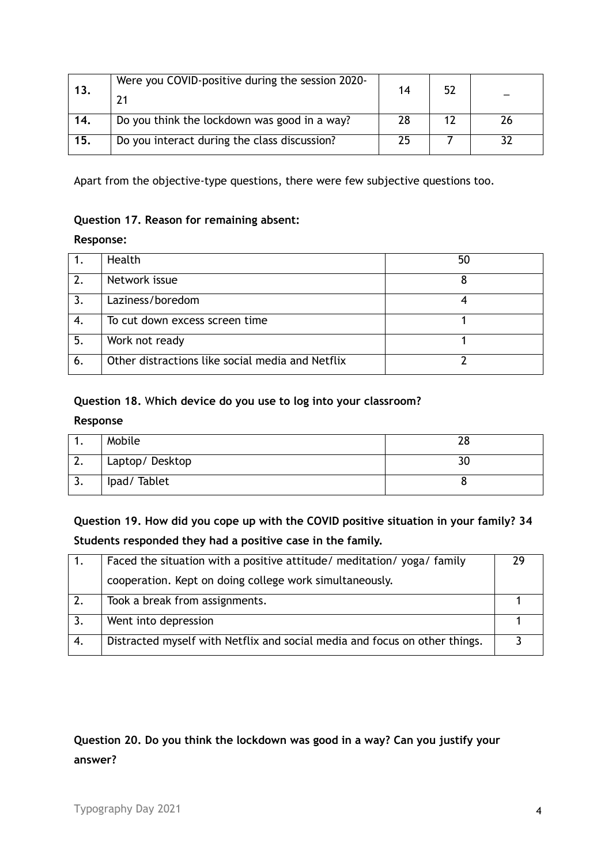| 13. | Were you COVID-positive during the session 2020- | 14 | 52 |  |
|-----|--------------------------------------------------|----|----|--|
| 14. | Do you think the lockdown was good in a way?     | 28 |    |  |
| 15. | Do you interact during the class discussion?     | 25 |    |  |

Apart from the objective-type questions, there were few subjective questions too.

#### **Question 17. Reason for remaining absent:**

#### **Response:**

|                | Health                                           | 50 |
|----------------|--------------------------------------------------|----|
| 2.             | Network issue                                    |    |
|                | Laziness/boredom                                 |    |
| $\mathbf{A}$   | To cut down excess screen time                   |    |
| 5.             | Work not ready                                   |    |
| 6 <sub>1</sub> | Other distractions like social media and Netflix |    |

#### **Question 18.** W**hich device do you use to log into your classroom?**

#### **Response**

|           | Mobile         | າ ເ<br>۷C |
|-----------|----------------|-----------|
| <b>L.</b> | Laptop/Desktop | 30        |
| <u>.</u>  | Ipad/Tablet    |           |

### **Question 19. How did you cope up with the COVID positive situation in your family? 34 Students responded they had a positive case in the family.**

|                  | Faced the situation with a positive attitude/ meditation/ yoga/ family     | 29 |
|------------------|----------------------------------------------------------------------------|----|
|                  | cooperation. Kept on doing college work simultaneously.                    |    |
| 2.               | Took a break from assignments.                                             |    |
| $\overline{3}$ . | Went into depression                                                       |    |
| $\overline{4}$ . | Distracted myself with Netflix and social media and focus on other things. |    |

## **Question 20. Do you think the lockdown was good in a way? Can you justify your answer?**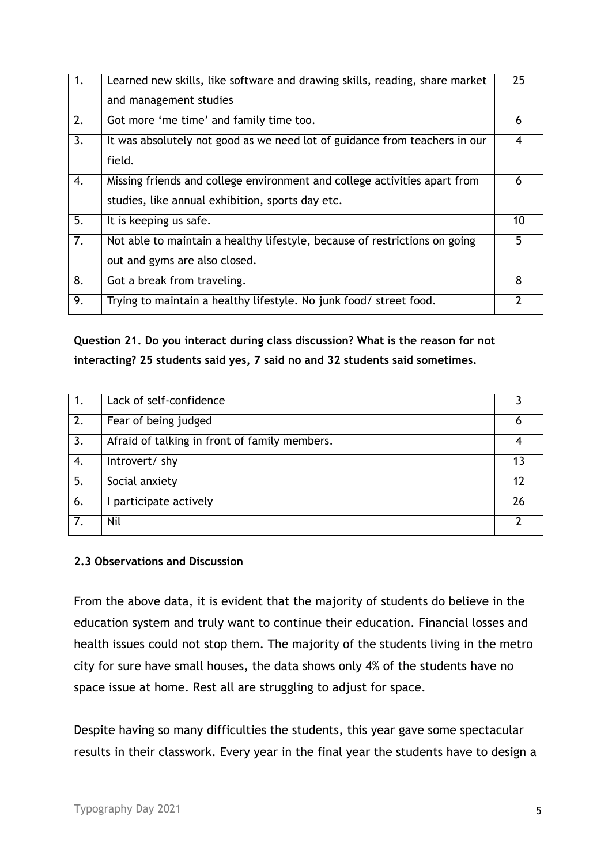| 1. | Learned new skills, like software and drawing skills, reading, share market                                                   | 25 |
|----|-------------------------------------------------------------------------------------------------------------------------------|----|
|    | and management studies                                                                                                        |    |
| 2. | Got more 'me time' and family time too.                                                                                       | 6  |
| 3. | It was absolutely not good as we need lot of guidance from teachers in our<br>field.                                          |    |
| 4. | Missing friends and college environment and college activities apart from<br>studies, like annual exhibition, sports day etc. |    |
| 5. | It is keeping us safe.                                                                                                        | 10 |
| 7. | Not able to maintain a healthy lifestyle, because of restrictions on going<br>out and gyms are also closed.                   | 5. |
| 8. | Got a break from traveling.                                                                                                   | 8  |
| 9. | Trying to maintain a healthy lifestyle. No junk food/ street food.                                                            |    |

**Question 21. Do you interact during class discussion? What is the reason for not interacting? 25 students said yes, 7 said no and 32 students said sometimes.**

| $\overline{1}$ . | Lack of self-confidence                       |    |
|------------------|-----------------------------------------------|----|
| $\overline{2}$ . | Fear of being judged                          | b  |
| 3.               | Afraid of talking in front of family members. |    |
| 4.               | Introvert/shy                                 | 13 |
| 5.               | Social anxiety                                |    |
| 6.               | participate actively                          | 26 |
| 7.               | Nil                                           |    |

#### **2.3 Observations and Discussion**

From the above data, it is evident that the majority of students do believe in the education system and truly want to continue their education. Financial losses and health issues could not stop them. The majority of the students living in the metro city for sure have small houses, the data shows only 4% of the students have no space issue at home. Rest all are struggling to adjust for space.

Despite having so many difficulties the students, this year gave some spectacular results in their classwork. Every year in the final year the students have to design a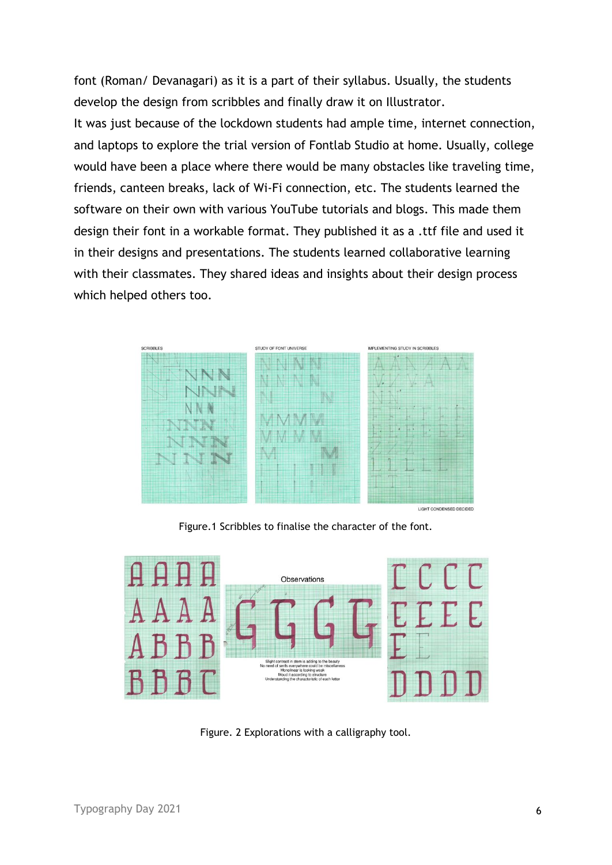font (Roman/ Devanagari) as it is a part of their syllabus. Usually, the students develop the design from scribbles and finally draw it on Illustrator.

It was just because of the lockdown students had ample time, internet connection, and laptops to explore the trial version of Fontlab Studio at home. Usually, college would have been a place where there would be many obstacles like traveling time, friends, canteen breaks, lack of Wi-Fi connection, etc. The students learned the software on their own with various YouTube tutorials and blogs. This made them design their font in a workable format. They published it as a .ttf file and used it in their designs and presentations. The students learned collaborative learning with their classmates. They shared ideas and insights about their design process which helped others too.



Figure.1 Scribbles to finalise the character of the font.



Figure. 2 Explorations with a calligraphy tool.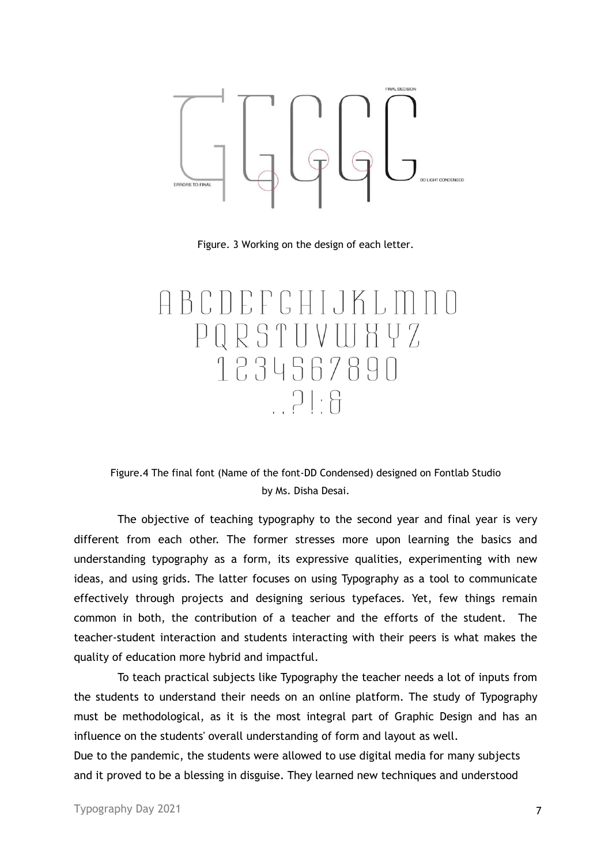

Figure. 3 Working on the design of each letter.

# ABCDEFGHIJKLMNO PQRSTUVWHYZ 1234567890  $\bigcap_{\alpha} \bigcap_{\alpha} \bigcap_{\alpha}$

Figure.4 The final font (Name of the font-DD Condensed) designed on Fontlab Studio by Ms. Disha Desai.

The objective of teaching typography to the second year and final year is very different from each other. The former stresses more upon learning the basics and understanding typography as a form, its expressive qualities, experimenting with new ideas, and using grids. The latter focuses on using Typography as a tool to communicate effectively through projects and designing serious typefaces. Yet, few things remain common in both, the contribution of a teacher and the efforts of the student. The teacher-student interaction and students interacting with their peers is what makes the quality of education more hybrid and impactful.

To teach practical subjects like Typography the teacher needs a lot of inputs from the students to understand their needs on an online platform. The study of Typography must be methodological, as it is the most integral part of Graphic Design and has an influence on the students' overall understanding of form and layout as well.

Due to the pandemic, the students were allowed to use digital media for many subjects and it proved to be a blessing in disguise. They learned new techniques and understood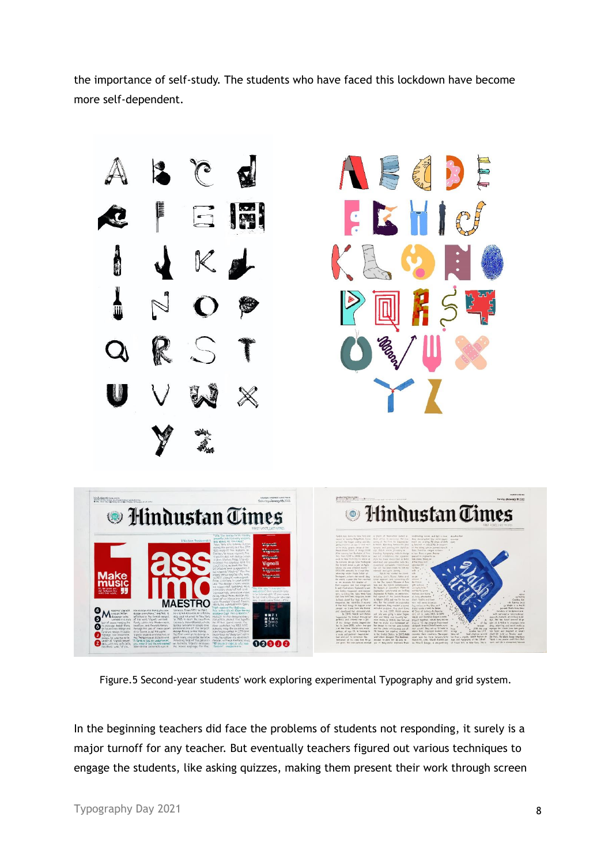the importance of self-study. The students who have faced this lockdown have become more self-dependent.



Figure.5 Second-year students' work exploring experimental Typography and grid system.

In the beginning teachers did face the problems of students not responding, it surely is a major turnoff for any teacher. But eventually teachers figured out various techniques to engage the students, like asking quizzes, making them present their work through screen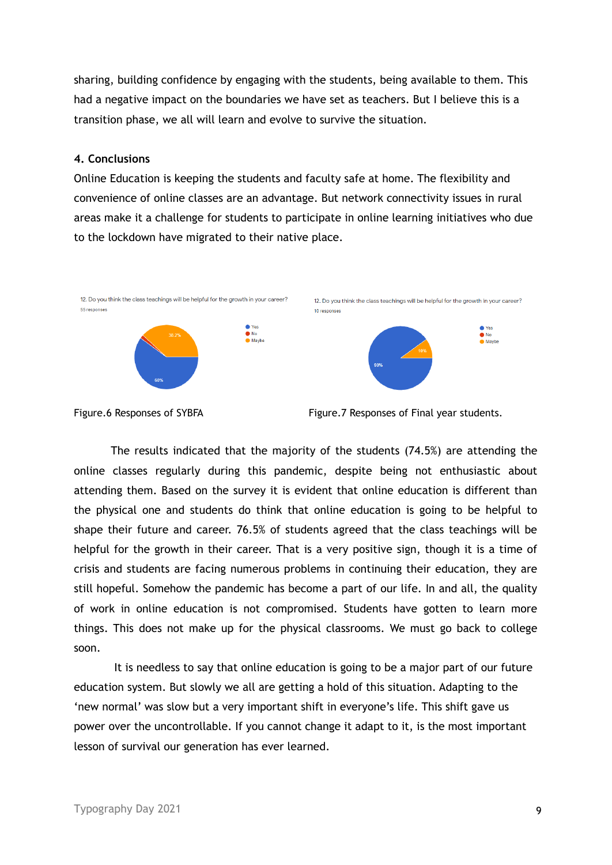sharing, building confidence by engaging with the students, being available to them. This had a negative impact on the boundaries we have set as teachers. But I believe this is a transition phase, we all will learn and evolve to survive the situation.

#### **4. Conclusions**

Online Education is keeping the students and faculty safe at home. The flexibility and convenience of online classes are an advantage. But network connectivity issues in rural areas make it a challenge for students to participate in online learning initiatives who due to the lockdown have migrated to their native place.







The results indicated that the majority of the students (74.5%) are attending the online classes regularly during this pandemic, despite being not enthusiastic about attending them. Based on the survey it is evident that online education is different than the physical one and students do think that online education is going to be helpful to shape their future and career. 76.5% of students agreed that the class teachings will be helpful for the growth in their career. That is a very positive sign, though it is a time of crisis and students are facing numerous problems in continuing their education, they are still hopeful. Somehow the pandemic has become a part of our life. In and all, the quality of work in online education is not compromised. Students have gotten to learn more things. This does not make up for the physical classrooms. We must go back to college soon.

It is needless to say that online education is going to be a major part of our future education system. But slowly we all are getting a hold of this situation. Adapting to the 'new normal' was slow but a very important shift in everyone's life. This shift gave us power over the uncontrollable. If you cannot change it adapt to it, is the most important lesson of survival our generation has ever learned.